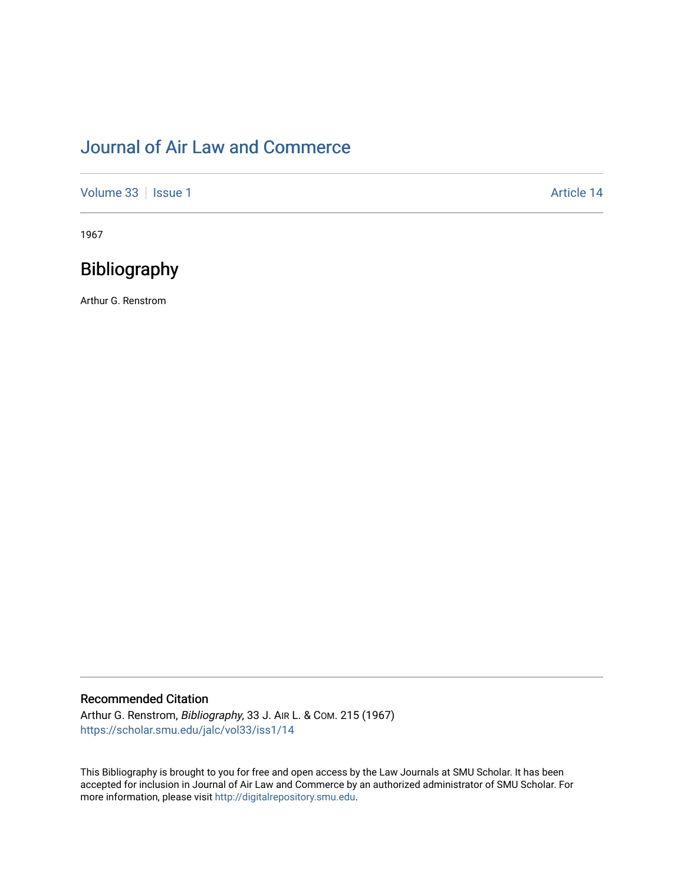# [Journal of Air Law and Commerce](https://scholar.smu.edu/jalc)

[Volume 33](https://scholar.smu.edu/jalc/vol33) | [Issue 1](https://scholar.smu.edu/jalc/vol33/iss1) Article 14

1967

## Bibliography

Arthur G. Renstrom

### Recommended Citation

Arthur G. Renstrom, Bibliography, 33 J. AIR L. & COM. 215 (1967) [https://scholar.smu.edu/jalc/vol33/iss1/14](https://scholar.smu.edu/jalc/vol33/iss1/14?utm_source=scholar.smu.edu%2Fjalc%2Fvol33%2Fiss1%2F14&utm_medium=PDF&utm_campaign=PDFCoverPages)

This Bibliography is brought to you for free and open access by the Law Journals at SMU Scholar. It has been accepted for inclusion in Journal of Air Law and Commerce by an authorized administrator of SMU Scholar. For more information, please visit [http://digitalrepository.smu.edu](http://digitalrepository.smu.edu/).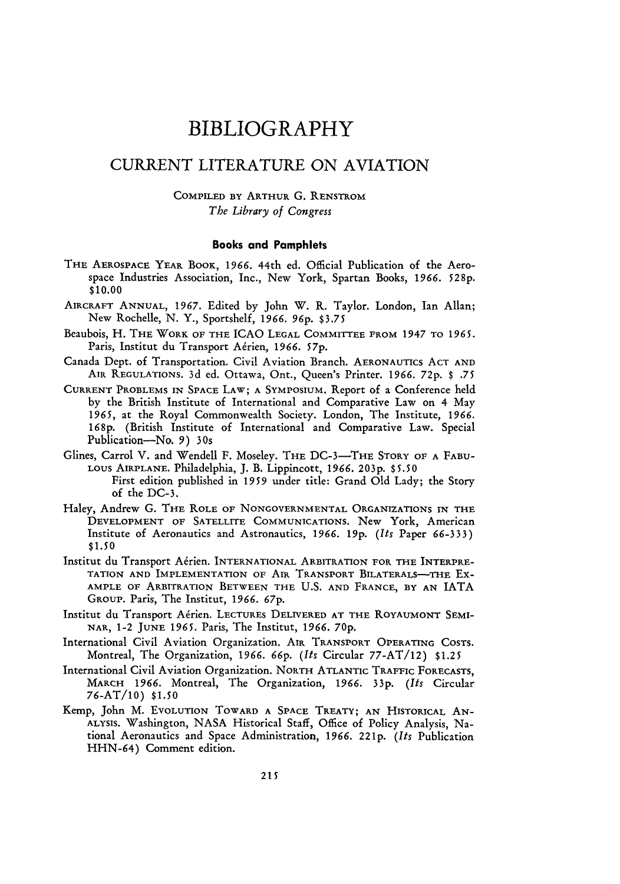### BIBLIOGRAPHY

### CURRENT LITERATURE ON AVIATION

### COMPILED BY ARTHUR G. RENSTROM *The Library of Congress*

#### **Books and Pamphlets**

- THE **AEROSPACE** YEAR BOOK, 1966. 44th ed. Official Publication of the Aerospace Industries Association, Inc., New York, Spartan Books, *1966.* 528p. **\$10.00**
- AIRCRAFT ANNUAL, **1967.** Edited by John W. R. Taylor. London, Ian Allan; New Rochelle, N. Y., Sportshelf, *1966.* 96p. *\$3.75*
- Beaubois, H. THE WORK OF THE ICAO **LEGAL** COMMITTEE FROM 1947 TO *1965.* Paris, Institut du Transport A6rien, *1966. 57p.*
- Canada Dept. of Transportation. Civil Aviation Branch. AERONAUTICS ACT AND AIR REGULATIONS. 3d ed. Ottawa, Ont., Queen's Printer. 1966. 72p. \$ **.75**
- CURRENT PROBLEMS IN SPACE LAW; A SYMPOSIUM. Report of a Conference held by the British Institute of International and Comparative Law on 4 May *1965,* at the Royal Commonwealth Society. London, The Institute, 1966. **168p.** (British Institute of International and Comparative Law. Special Publication-No. 9) *30s*
- Glines, Carrol V. and Wendell F. Moseley. THE DC-3-THE STORY OF A FABU-LOUS **AIRPLANE.** Philadelphia, **J.** B. Lippincott, 1966. **203p.** \$5.50 First edition published in *1959* under title: Grand Old Lady; the Story of the DC-3.
- Haley, Andrew **G. THE** ROLE OF NONGOVERNMENTAL ORGANIZATIONS IN THE DEVELOPMENT OF SATELLITE COMMUNICATIONS. New York, American Institute of Aeronautics and Astronautics, *1966.* **19p.** *(Its* Paper 66-333) \$1.50
- Institut du Transport A6rien. INTERNATIONAL ARBITRATION FOR THE INTERPRE-TATION AND IMPLEMENTATION OF AIR TRANSPORT BILATERALS-THE EX-AMPLE OF ARBITRATION BETWEEN THE U.S. **AND** FRANCE, BY AN IATA GROUP. Paris, The Institut, *1966. 67p.*
- Institut du Transport Afrien. LECTURES **DELIVERED AT THE** ROyAUMONT **SEMI-NAR,** 1-2 JUNE **1965.** Paris, The Institut, **1966.** 70p.
- International Civil Aviation Organization. AIR TRANSPORT **OPERATING COSTS.** Montreal, The Organization, *1966.* 66p. *(Its* Circular 77-AT/12) \$1.25
- International Civil Aviation Organization. NORTH ATLANTIC TRAFFIC FORECASTS, MARCH **1966.** Montreal, The Organization, **1966.** 33p. *(Its* Circular 76-AT/lO) \$1.50
- Kemp, John M. EVOLUTION TOWARD A SPACE TREATY; AN HISTORICAL AN-ALYSIS. Washington, NASA Historical Staff, Office of Policy Analysis, National Aeronautics and Space Administration, 1966. <sup>2</sup> <sup>2</sup> 1p. *(Its* Publication HHN-64) Comment edition.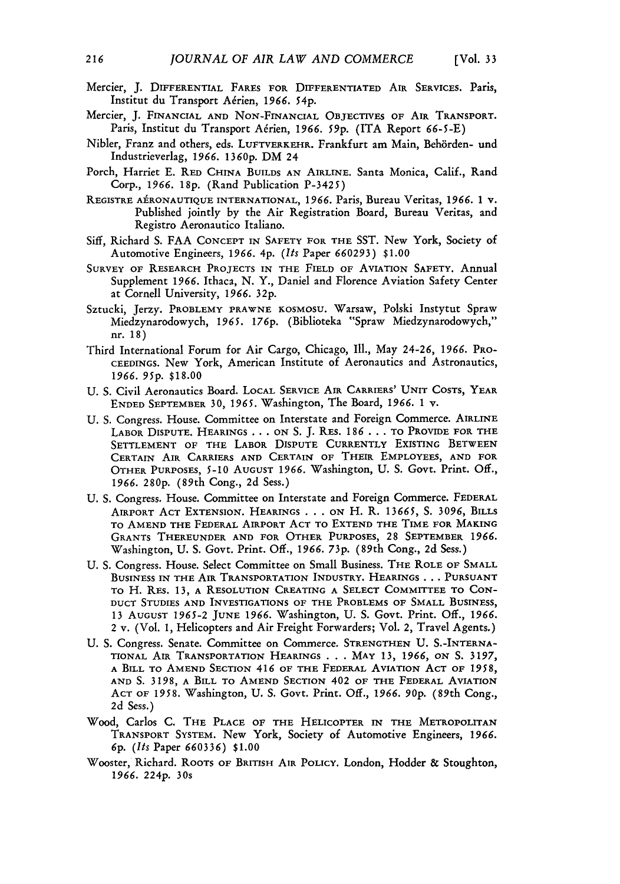- Mercier, **J.** DIFFERENTIAL FARES FOR DIFFERENTIATED AIR SERVICES. Paris, Institut du Transport Aérien, 1966. 54p.
- Mercier, **J.** FINANCIAL AND NoN-FINANCIAL OBJECTIVES OF AIR TRANSPORT. Paris, Institut du Transport A6rien, *1966. 59p.* (ITA Report **66-5-E)**
- Nibler, Franz and others, eds. LUFTVERKEHR. Frankfurt am Main, Behbrden- und Industrieverlag, *1966.* 1360p. DM 24
- Porch, Harriet **E.** RED CHINA BUILDS AN AIRLINE. Santa Monica, Calif., Rand Corp., *1966.* **18p.** (Rand Publication P-3425)
- REGISTRE AiRONAUTIQUE INTERNATIONAL, 1966. Paris, Bureau Veritas, *1966. 1* v. Published jointly **by** the Air Registration Board, Bureau Veritas, and Registro Aeronautico Italiano.
- Siff, Richard **S. FAA** CONCEPT IN SAFETY FOR THE SST. New York, Society of Automotive Engineers, *1966.* 4p. *(Its* Paper *660293)* \$1.00
- SURVEY OF RESEARCH PROJECTS IN THE FIELD OF AVIATION SAFETY. Annual Supplement 1966. Ithaca, N. Y., Daniel and Florence Aviation Safety Center at Cornell University, *1966.* 32p.
- Sztucki, Jerzy. PROBLEMY PRAWNE KOSMOSU. Warsaw, Polski Instytut Spraw Miedzynarodowych, *1965. 176p.* (Biblioteka "Spraw Miedzynarodowych," nr. 18)
- Third International Forum for Air Cargo, Chicago, **Ill.,** May 24-26, *1966.* PRO-CEEDINGS. New York, American Institute of Aeronautics and Astronautics, *1966. 95p.* \$18.00
- U. S. Civil Aeronautics Board. LOCAL SERVICE AIR CARRIERS' UNIT COSTS, YEAR ENDED SEPTEMBER 30, 1965. Washington, The Board, *1966. 1* v.
- U. S. Congress. House. Committee on Interstate and Foreign Commerce. AIRLINE LABOR DISPUTE. HEARINGS **...** ON S. J. RES. **186 . ..** TO PROVIDE FOR THE SETTLEMENT OF THE LABOR DISPUTE CURRENTLY EXISTING BETWEEN **CERTAIN** AIR CARRIERS AND CERTAIN OF THEIR EMPLOYEES, **AND** FOR OTHER PURPOSES, **5-10** AUGUST **1966.** Washington, U. **S.** Govt. Print. Off., *1966.* 280p. (89th Cong., 2d Sess.)
- U. **S.** Congress. House. Committee on Interstate and Foreign Commerce. FEDERAL AIRPORT **ACT** EXTENSION. HEARINGS **. ..** ON H. R. *13665,* **S.** *3096,* BILLS TO AMEND THE FEDERAL AIRPORT **ACT** TO EXTEND THE TIME FOR MAKING GRANTS THEREUNDER **AND** FOR OTHER PURPOSES, **28** SEPTEMBER 1966. Washington, **U.** S. Govt. Print. Off., *1966.* 73p. (89th Cong., 2d Sess.)
- U. S. Congress. House. Select Committee on Small Business. THE ROLE OF SMALL BUSINESS **IN** THE AIR TRANSPORTATION INDUSTRY. HEARINGS **. . . PURSUANT** TO H. RES. **13,** A RESOLUTION CREATING A SELECT COMMITTEE TO CON-DUCT STUDIES **AND** INVESTIGATIONS OF THE PROBLEMS OF SMALL **BUSINESS, 13** AUGUST 1965-2 JUNE 1966. Washington, **U. S.** Govt. Print. Off., *1966.* 2 v. (Vol. 1, Helicopters and Air Freight Forwarders; Vol. 2, Travel Agents.)
- **U. S.** Congress. Senate. Committee on Commerce. STRENGTHEN **U.** S.-INTERNA-TIONAL AIR TRANSPORTATION HEARINGS **. . .** MAY 13, *1966, ON* **S.** 3197, **<sup>A</sup>**BILL TO AMEND SECTION 416 OF THE FEDERAL AVIATION **ACT** OF *1958,* AND **S.** 3198, A BILL TO AMEND SECTION 402 OF THE FEDERAL AVIATION ACT OF **1958.** Washington, **U.** S. Govt. Print. Off., *1966. 90p.* (89th Cong., 2d Sess.)
- Wood, Carlos **C.** THE PLACE OF THE HELICOPTER IN THE METROPOLITAN TRANSPORT SYSTEM. New York, Society of Automotive Engineers, *1966. 6p. (Its* Paper *660336)* **\$1.00**
- Wooster, Richard. ROOTS OF BRITISH AIR POLICY. London, Hodder & Stoughton, *1966.* 224p. 30s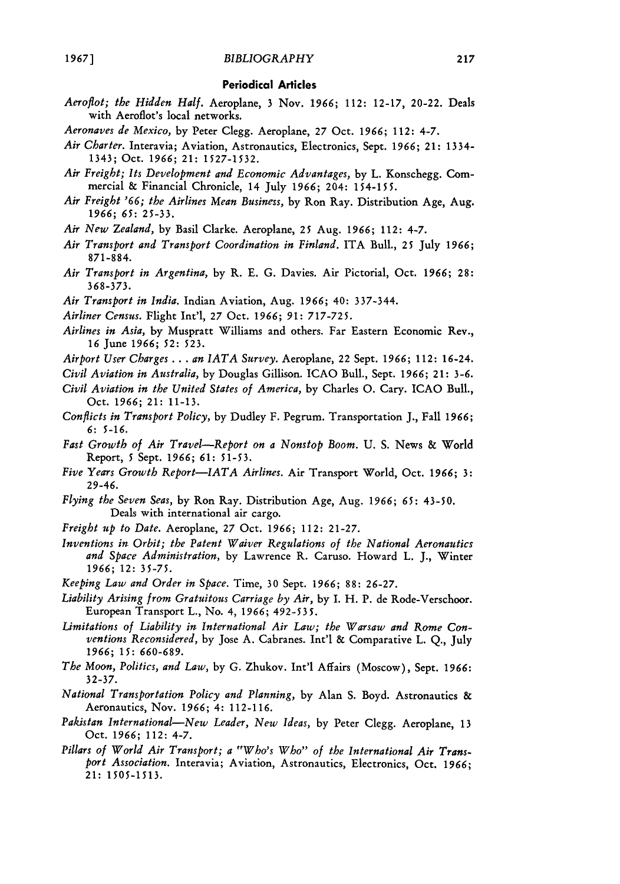#### **Periodical Articles**

- *Aeroflot; the Hidden Half.* Aeroplane, 3 Nov. **1966;** 112: 12-17, 20-22. Deals with Aeroflot's local networks.
- *Aeronaves de Mexico,* by Peter Clegg. Aeroplane, 27 Oct. **1966;** 112: 4-7.
- *Air Charter.* Interavia; Aviation, Astronautics, Electronics, Sept. **1966;** 21: 1334- 1343; Oct. **1966;** 21: 1527-1532.
- *Air Freight; Its Development and Economic Advantages,* by L. Konschegg. Commercial & Financial Chronicle, 14 July **1966;** 204: 154-155.
- *Air Freight '66; the Airlines Mean Business,* by Ron Ray. Distribution Age, Aug. **1966;** *65:* 25-33.
- *Air New Zealand,* by Basil Clarke. Aeroplane, 25 Aug. **1966;** 112: 4-7.
- *Air Transport and Transport Coordination in Finland.* ITA Bull., **25** July **1966;** 871-884.
- *Air Transport in Argentina,* by R. E. G. Davies. Air Pictorial, Oct. **1966; 28: 368-373.**
- *Air Transport in India.* Indian Aviation, Aug. **1966;** 40: 337-344.
- *Airliner Census.* Flight Int'l, 27 Oct. **1966;** *91:* 717-725.
- *Airlines in Asia,* by Muspratt Williams and others. Far Eastern Economic Rev., **16** June **1966;** *52:* 523.
- *Airport User Charges* ... *an IATA Survey.* Aeroplane, 22 Sept. **1966;** 112: 16-24.
- *Civil Aviation in Australia,* by Douglas Gillison. ICAO Bull., Sept. **1966;** 21: 3-6.
- *Civil Aviation in the United States of America,* by Charles **0.** Cary. ICAO Bull., Oct. **1966;** 21: 11-13.
- *Conflicts in Transport Policy,* by Dudley F. Pegrum. Transportation J., Fall **1966; 6:** 5-16.
- *Fast Growth of Air Travel--Report on a Nonstop Boom.* **U.** S. News **&** World Report, 5 Sept. *1966; 61:* 51-53.
- *Five Years Growth Report-IATA Airlines.* Air Transport World, Oct. *1966;* **3:** 29-46.
- *Flying the Seven Seas,* **by** Ron Ray. Distribution Age, Aug. *1966; 65:* 43-50. Deals with international air cargo.
- *Freight up to Date.* Aeroplane, 27 Oct. *1966;* 112: 21-27.
- *Inventions in Orbit; the Patent Waiver Regulations of the National Aeronautics and Space Administration,* by Lawrence R. Caruso. Howard L. J., Winter *1966;* 12: 35-75.
- *Keeping Law and Order in Space.* Time, 30 Sept. **1966;** 88: 26-27.
- *Liability Arising from Gratuitous Carriage by Air,* by I. H. P. de Rode-Verschoor. European Transport L., No. 4, 1966; 492-53 **5.**
- *Limitations of Liability in International Air Law; the Warsaw and Rome Conventions Reconsidered,* by Jose A. Cabranes. Int'l & Comparative L. Q., July *1966;* 15: *660-689.*
- *The Moon, Politics, and Law,* by G. Zhukov. Int'l Affairs (Moscow), Sept. 1966: 32-37.
- *National Transportation Policy and Planning,* by Alan S. Boyd. Astronautics & Aeronautics, Nov. *1966;* 4: 112-116.
- *Pakistan International--New Leader, New Ideas,* by Peter Clegg. Aeroplane, 13 Oct. 1966; 112: 4-7.
- *Pillars of World Air Transport; a "Who's Who" of the International Air Transport Association.* Interavia; Aviation, Astronautics, Electronics, Oct. *1966;* 21: 1505-1513.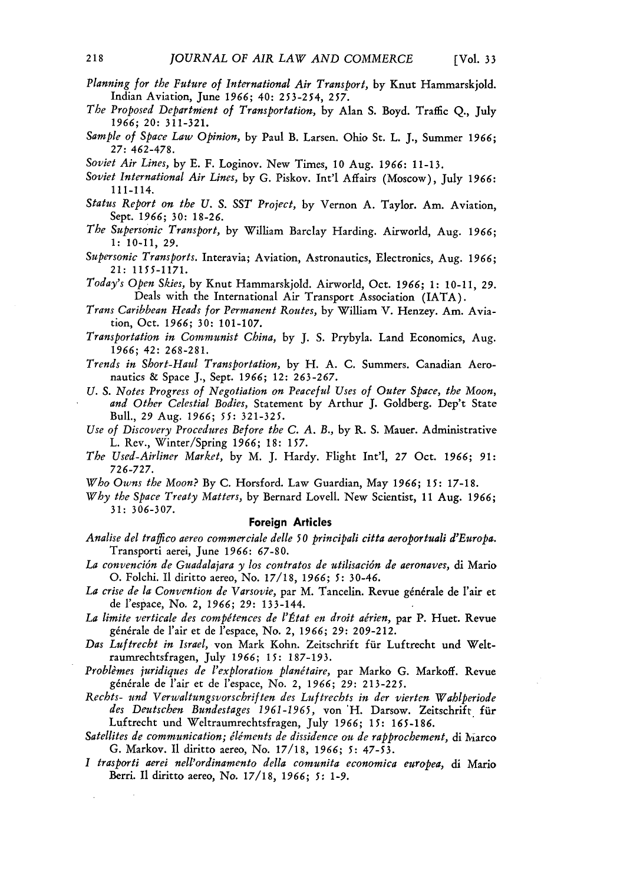- *Planning for the Future of International Air Transport,* by Knut Hammarskjold. Indian Aviation, June *1966;* 40: 253-254, *257.*
- *The Proposed Department of Transportation,* by Alan S. Boyd. Traffic Q., July **1966;** 20: 311-321.
- *Sample of Space Law Opinion,* by Paul B. Larsen. Ohio St. L. J., Summer **1966; 27:** 462-478.
- *Soviet Air Lines,* by E. F. Loginov. New Times, **10** Aug. **1966:** 11-13.
- *Soviet International Air Lines,* by **G.** Piskov. Int'l Affairs (Moscow), July **1966:** 111-114.
- *Status Report on the U. S. SST Project,* by Vernon A. Taylor. Am. Aviation, Sept. **1966; 30:** 18-26.
- *The Supersonic Transport,* by William Barclay Harding. Airworld, Aug. **1966; 1:** 10-11, **29.**
- *Supersonic Transports.* Interavia; Aviation, Astronautics, Electronics, Aug. **1966;** 21: 1155-1171.
- *Today's Open Skies,* by Knut Hammarskjold. Airworld, Oct. **1966; 1:** 10-11, *29.* Deals with the International Air Transport Association (IATA).
- *Trans Caribbean Heads for Permanent Routes,* by William V. Henzey. Am. Aviation, Oct. *1966;* **30:** 101-107.
- *Transportation in Communist China,* by J. S. Prybyla. Land Economics, Aug. **1966;** 42: 268-281.
- *Trends in Short-Haul Transportation,* by H. A. C. Summers. Canadian Aeronautics & Space J., Sept. **1966;** 12: 263-267.
- *U. S. Notes Progress of Negotiation on Peaceful Uses of Outer Space, the Moon, and Other Celestial Bodies,* Statement by Arthur J. Goldberg. Dep't State Bull., **29** Aug. **1966;** *55:* **321-325.**
- *Use of Discovery Procedures Before the C. A. B.,* by R. S. Mauer. Administrative L. Rev., Winter/Spring **1966; 18: 157.**
- *The Used-Airliner Market,* by M. J. Hardy. Flight Int'l, 27 Oct. **1966;** *91:* 726-727.
- *Who Owns the Moon?* By C. Horsford. Law Guardian, May **1966;** *15:* 17-18.
- *Why the Space Treaty Matters,* by Bernard Lovell. New Scientist, 11 Aug. **1966; 31:** 306-307.

#### **Foreign Articles**

- *Analise del traflico aereo commerciale delle 50 principali citta aeroportuali d'Europa.* Transporti aerei, June **1966:** 67-80.
- *La convenci6n de Guadalajara y los contratos de utilisaci6n de aeronaves,* di Mario *0.* Folchi. I1 diritto aereo, No. 17/18, *1966; 5:* 30-46.
- La crise de la Convention de Varsovie, par M. Tancelin. Revue générale de l'air et de l'espace, No. 2, *1966;* **29:** 133-144.
- La limite verticale des compétences de l'État en droit aérien, par P. Huet. Revue générale de l'air et de l'espace, No. 2, 1966; 29: 209-212.
- Das Luftrecht in Israel, von Mark Kohn. Zeitschrift für Luftrecht und Weltraumrechtsfragen, July **1966;** *15:* 187-193.
- Problèmes juridiques de l'exploration planétaire, par Marko G. Markoff. Revue générale de l'air et de l'espace, No. 2, 1966; 29: 213-225.
- *Rechts- und Verwaltungsvorschrif ten des Luftrechts in der vierten Wahlperiode des Deutschen Bundestages 1961-1965,* von 'H. Darsow. Zeitschrift fiir Luftrecht und Weltraumrechtsfragen, July **1966;** *15:* 165-186.
- Satellites de communication; éléments de dissidence ou de rapprochement, di Marco G. Markov. I1 diritto aereo, No. 17/18, **1966;** *5:* 47-53.
- *I trasporti aerei nell'ordinamento della comunita economica europea,* di Mario Berri. **I** diritto aereo, No. 17/18, **1966;** *5:* 1-9.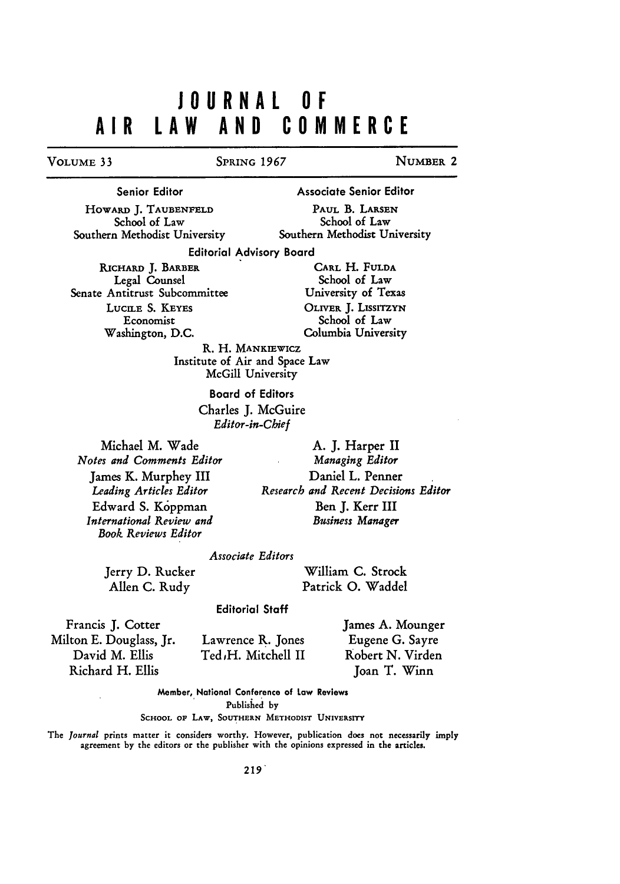# **JOURNAL OF AIR LAW AND COMMERCE**

#### VOLUME **33** SPRING 1967 NUMBER 2

Senior Editor

Associate Senior Editor

HOWARD **J.** TAUBENFELD School of Law Southern Methodist University

PAUL B. LARSEN School of Law Southern Methodist University

Editorial Advisory Board

RICHARD **J.** BARBER Legal Counsel Senate Antitrust Subcommittee LUCILE S. **KEYES** Economist Washington, **D.C.**

CARL H. FULDA School of Law University of Texas OLIVER **J.** LISSITZYN School of Law Columbia University

R. H. MANKIEWICZ Institute of Air and Space Law McGill University

> Board of Editors Charles **J.** McGuire *Editor-in-Chief*

Michael M. Wade *Notes and Comments Editor* James K. Murphey III *Leading Articles Editor* Edward S. Koppman *International Review and Book Reviews Editor*

A. J. Harper II *Managing Editor* Daniel L. Penner *Research and Recent Decisions Editor* Ben J. Kerr III *Business Manager*

#### *Associate Editors*

Jerry D. Rucker Allen C. Rudy

William **C.** Strock Patrick **0.** Waddel

#### Editorial Staff

Francis **J.** Cotter Milton **E.** Douglass, Jr. David M. Ellis Richard H. Ellis

Lawrence **R.** Jones Ted<sub>t</sub>H. Mitchell II

James **A.** Mounger Eugene G. Sayre Robert **N.** Virden Joan T. Winn

Member, National Conference of Law Reviews

Published **by**

**SCHOOL OF** LAW, **SOUTHERN METHODIST UNIVERSITY**

The *Journal* prints matter it considers worthy. However, publication does not necessarily imply agreement **by** the editors or the publisher with the opinions expressed in the articles.